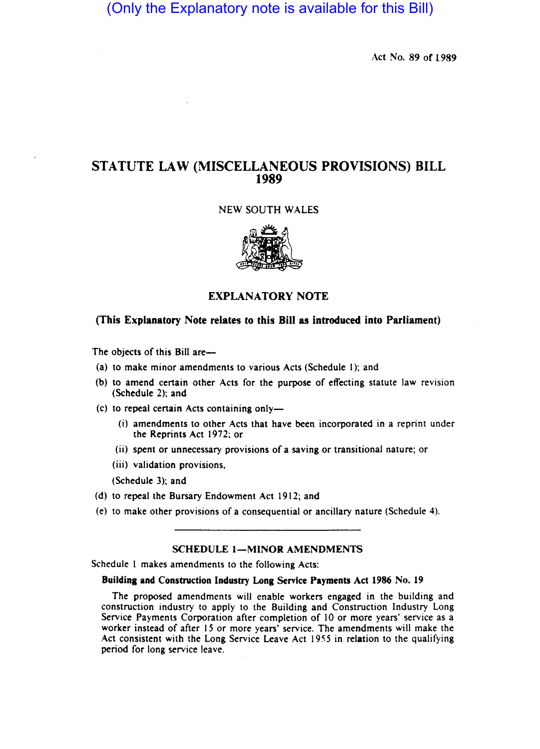# (Only the Explanatory note is available for this Bill)

Act No. 89 of 1989

## STATUTE LAW (MISCELLANEOUS PROVISIONS) BILL 1989

## NEW SOUTH WALES



## EXPLANATORY NOTE

## (This Explanatory Note relates to this Bill as introduced into Parliament)

The objects of this Bill are—

- (a) to make minor amendments to various Acts (Schedule 1); and
- (b) to amend certain other Acts for the purpose of effecting statute law revision (Schedule 2); and
- (c) to repeal certain Acts containing only-
	- (i) amendments to other Acts that have been incorporated in a reprint under the Reprints Act 1972; or
	- (ii) spent or unnecessary provisions of a saving or transitional nature; or
	- (iii) validation provisions.

(Schedule 3); and

- (d) to repeal the Bursary Endowment Act  $1912$ ; and
- (e) to make other provisions of a consequential or ancillary nature (Schedule 4).

## SCHEDULE 1-MINOR AMENDMENTS

Schedule 1 makes amendments to the following Acts:

## Building and Construction Industry Long Service Payments Act 1986 No. 19

The proposed amendments will enable workers engaged in the building and construction industry to apply to the Building and Construction Industry Long Service Payments Corporation after completion of 10 or more years' service as a worker instead of after 15 or more years' service. The amendments will make the Act consistent with the Long Service Leave Act 1955 in relation to the qualifying period for long service leave.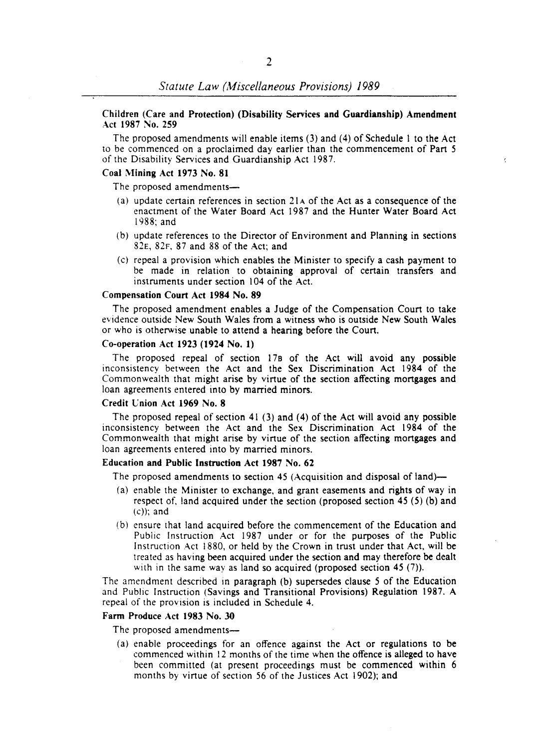#### Children (Care and Protection) (Disability Services and Guardianship) Amendment Act 1987 No. 259

The proposed amendments will enable items (3) and (4) of Schedule I to the Act to be commenced on a proclaimed day earlier than the commencement of Part 5 of the Disability Services and Guardianship Act 1987.

## Coal Mining Act 1973 No. 81

The proposed amendments-

- (a) update certain references in section 21 A of the Act as a consequence of the enactment of the Water Board Act 1987 and the Hunter Water Board Act 1988; and
- (b) update references to the Director of Environment and Planning in sections 82E, 82F. 87 and 88 of the Act; and
- (c) repeal a provision which enables the Minister to specify a cash payment to be made in relation to obtaining approval of certain transfers and instruments under section 104 of the Act.

#### Compensation Court Act 1984 No. 89

The proposed amendment enables a Judge of the Compensation Court to take evidence outside New South Wales from a witness who is outside New South Wales or who is otherwise unable to attend a hearing before the Court.

## Co-operation Act 1923 (1924 No. 1)

The proposed repeal of section 178 of the Act will avoid any possible inconsistency between the Act and the Sex Discrimination Act 1984 of the Commonwealth that might arise by virtue of the section affecting mortgages and loan agreements entered into by married minors.

#### Credit Cnion Act 1969 No. 8

The proposed repeal of section 41 (3) and (4) of the Act will avoid any possible inconsistency between the Act and the Sex Discrimination Act 1984 of the Commonwealth that might arise by virtue of the section affecting mortgages and loan agreements entered into by married minors.

#### Education and Public Instruction Act 1987 No. 62

The proposed amendments to section 45 (Acquisition and disposal of land)—

- (a) enable the Minister to exchange, and grant easements and rights of way in respect of. land acquired under the section (proposed section 45 (5) (b) and  $(c)$ ; and
- (b) ensure that land acquired before the commencement of the Education and Public Instruction Act 1987 under or for the purposes of the Public Instruction Act 1880, or held by the Crown in trust under that Act, will be treated as having been acquired under the section and may therefore be dealt with in the same way as land so acquired (proposed section  $45(7)$ ).

The amendment described in paragraph (b) supersedes clause 5 of the Education and Public Instruction (Savings and Transitional Provisions) Regulation 1987. A repeal of the provision is included in Schedule 4.

#### Farm Produce Act 1983 No. 30

The proposed amendments-

(a) enable proceedings for an offence against the Act or regulations to be commenced within 12 months of the time when the offence is alleged to have been committed (at present proceedings must be commenced within 6 months by virtue of section S6 of the Justices Act 1902); and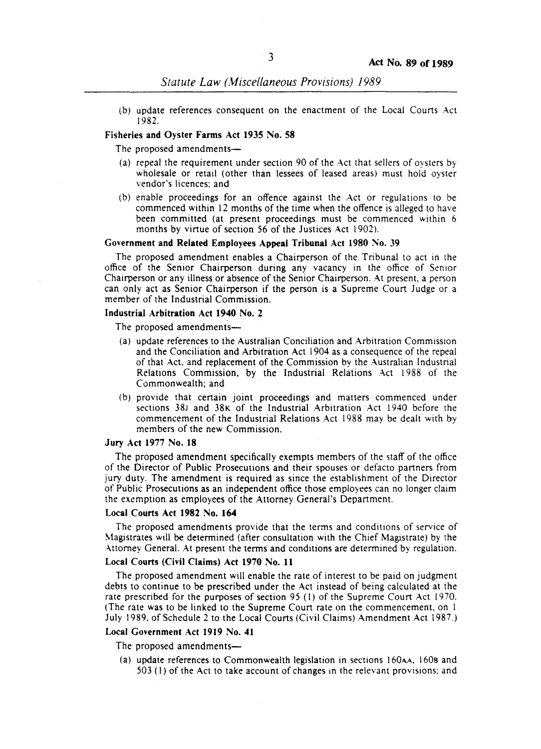(b) update references consequent on the enactment of the Local Courts Act 1982.

#### Fisheries and Oyster Farms Act 1935 No. 58

The proposed amendments-

- (a) repeal the requirement under section 90 of the Act that sellers of ovsters by wholesale or retail (other than lessees of leased areas) must hold oyster vendor's licences: and
- (b) enable proceedings for an offence against the Act or regulations to be commenced within 12 months of the time when the offence is alleged to have been committed (at present proceedings must be commenced within 6 months by virtue of section 56 of the Justices Act 1902).

#### Government and Related Employees Appeal Tribunal Act 1980 No. 39

The proposed amendment enables a Chairperson of the Tribunal to act in the office of the Senior Chairperson during any vacancy in the office of Senior Chairperson or any illness or absence of the Senior Chairperson. At present, a person can only act as Senior Chairperson if the person is a Supreme Court Judge or a member of the Industrial Commission.

#### Industrial Arbitration Act 1940 No. 2

The proposed amendments-

- (a) update references to the Australian Conciliation and Arbitration Commission and the Conciliation and Arbitration Act 1904 as a consequence of the repeal of that Act, and replacement of the Commission by the Australian Industrial Relations Commission, by the Industrial Relations Act 1988 of the Commonwealth; and
- (b) provide that certain joint proceedings and matters commenced under sections 38J and 38K of the Industrial Arbitration Act 1940 before the commencement of the Industrial Relations Act 1988 may be dealt with by members of the new Commission.

#### Jury Act 1977 No. 18

The proposed amendment specifically exempts members of the staff of the office of the Director of Public Prosecutions and their spouses or defacto partners from jury duty. The amendment is required as since the establishment of the Director of Public Prosecutions as an independent office those employees can no longer claim the exemption as employees of the Attorney General's Department.

#### Local Courts Act 1982 No. 164

The proposed amendments provide that the terms and conditions of service of ~1agistrates will be determined (after consultation with the Chief Magistrate) by the Attorney General. At present the terms and conditions are determined by regulation.

## Local Courts (Civil Claims) Act 1970 No. 11

The proposed amendment will enable the rate of interest to be paid on judgment debts to continue to be prescribed under the Act instead of being calculated at the rate prescribed for the purposes of section 95 (I) of the Supreme Court Act 1970. (The rate was to be linked to the Supreme Court rate on the commencement, on I July 1989. of Schedule 2 to the Local Courts (Civil Claims) Amendment Act 1987.)

#### Local Government Act 1919 No. 41

The proposed amendments-

(a) update references to Commonwealth legislation in sections 160AA. 1608 and  $503$  (1) of the Act to take account of changes in the relevant provisions; and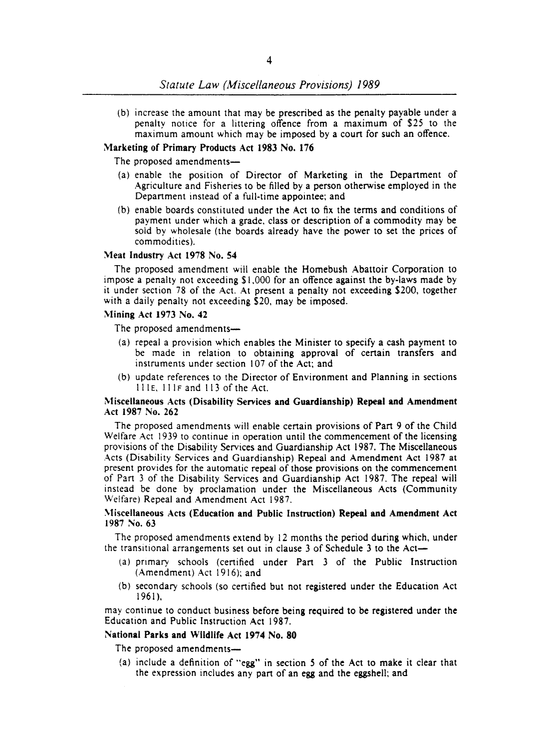(b) increase the amount that may be prescribed as the penalty payable under a penalty notice for a littering offence from a maximum of \$25 to the maximum amount which may be imposed by a court for such an offence.

## Marketing of Primary Products Act 1983 No. 176

The proposed amendments-

- (a) enable the position of Director of Marketing in the Depanment of Agriculture and Fisheries to be filled by a person otherwise employed in the Department instead of a full-time appointee; and
- (b) enable boards constituted under the Act to fix the terms and conditions of payment under which a grade, class or description of a commodity may be sold by wholesale (the boards already have the power to set the prices of commodities).

#### Meat Industry Act 1978 No. S4

The proposed amendment will enable the Homebush Abattoir Corporation to impose a penalty not exceeding \$1,000 for an offence against the by-laws made by it under section 78 of the Act. At present a penalty not exceeding \$200, together with a daily penalty not exceeding \$20. may be imposed.

## Mining Act 1973 No. 42

The proposed amendments-

- (a) repeal a provision which enables the Minister to specify a cash payment to be made in relation to obtaining approval of certain transfers and instruments under section 107 of the Act; and
- (b) update references to the Director of Environment and Planning in sections IIIE, IIIF and II3 of the Act.

#### Miscellaneous Acts (Disability Services and Guardianship) Repeal and Amendment Act 1987 No. 262

The proposed amendments will enable certain provisions of Part 9 of the Child Welfare Act 1939 to continue in operation until the commencement of the licensing provisions of the Disability Services and Guardianship Act 1987. The Miscellaneous Acts (Disability Services and Guardianship) Repeal and Amendment Act 1987 at present provides for the automatic repeal of those provisions on the commencement of Part 3 of the Disability Services and Guardianship Act 1987. The repeal will instead be done by proclamation under the Miscellaneous Acts (Community Welfare) Repeal and Amendment Act 1987.

## Miscellaneous Acts (Education and Public Instruction) Repeal and Amendment Act 1987 No. 63

The proposed amendments extend by 12 months the period during which. under the transitional arrangements set out in clause 3 of Schedule 3 to the Act-

- (a) primary schools (certified under Part 3 of the Public Instruction (Amendment) Act 1916); and
- (b) secondary schools (so cenified but not registered under the Education Act 1961 ).

may continue to conduct business before being required to be registered under the Education and Public Instruction Act 1987.

## National Parks and Wildlife Act 1974 No. 80

The proposed amendments-

(a) include a definition of "egg" in section 5 of the Act to make it clear that the expression includes any pan of an egg and the eggshell; and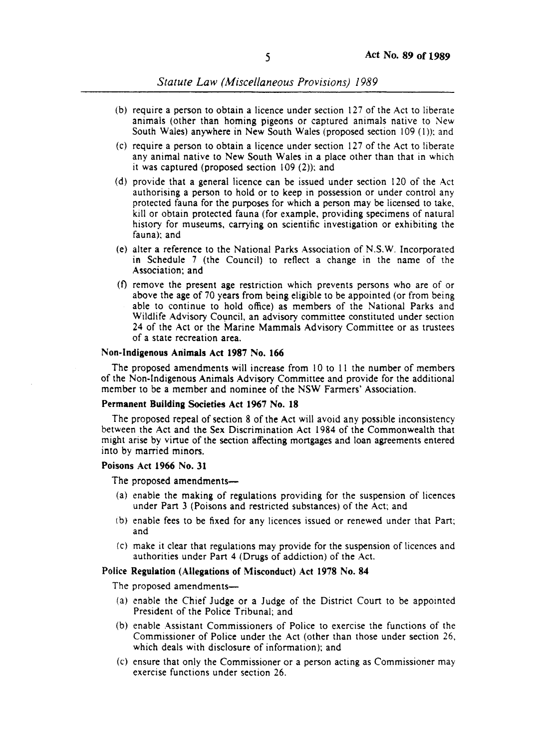- (b) require a person to obtain a licence under section  $127$  of the Act to liberate animals (other than homing pigeons or captured animals native to New South Wales) anywhere in New South Wales (proposed section 109 (1)); and
- $(c)$  require a person to obtain a licence under section 127 of the Act to liberate any animal native to New South Wales in a place other than that in which it was captured (proposed section  $109(2)$ ); and
- (d) provide that a general licenc can be issued under section 120 of the Act authorising a person to hold or to keep in possession or under control any protected fauna for the purposes for which a person may be licensed to take, kill or obtain protected fauna (for example, providing specimens of natural history for museums, carrying on scientific investigation or exhibiting the fauna): and
- (e) alter a reference to the National Parks Association of N.S.W. Incorporated in Schedule 7 (the Council) to reflect a change in the name of the Association; and
- (t) remove the present age restriction which prevents persons who are of or above the age of 70 years from being eligible to be appointed (or from being able to continue to hold office) as members of the National Parks and Wildlife Advisory Council, an advisory committee constituted under section 24 of the Act or the Marine Mammals Advisory Committee or as trustees of a state recreation area.

## Non-Indigenous Animals Act 1987 No. 166

The proposed amendments will increase from 10 to 11 the number of members of the Non-Indigenous Animals Advisory Committee and provide for the additional member to be a member and nominee of the NSW Farmers' Association.

#### Permanent Building Societies Act 1967 No. 18

The proposed repeal of section 8 of the Act will avoid any possible inconsistency between the Act and the Sex Discrimination Act 1984 of the Commonwealth that might arise by virtue of the section affecting mortgages and loan agreements entered into by married minors.

#### Poisons Act 1966 No. 31

The proposed amendments—

- $(a)$  enable the making of regulations providing for the suspension of licences under Part 3 (Poisons and restricted substances) of the Act; and
- (b) enable fees to be fixed for any licences issued or renewed under that Part; and
- (c) make it clear that regulations ay provide for the suspension of licences and authorities under Part 4 (Drugs of addiction) of the Act.

## Police Regulation (Allegations of Misconduct) Act 1978 No. 84

The proposed amendments-

- (a) enable the Chief Judge or a Judge of the District Court to be appointed President of the Police Tribunal; and
- (b) enable Assistant Commissioners of Police to exercise the functions of the Commissioner of Police under the Act (other than those under section 26, which deals with disclosure of information); and
- $(c)$  ensure that only the Commissioner or a person acting as Commissioner may exercise functions under section 26.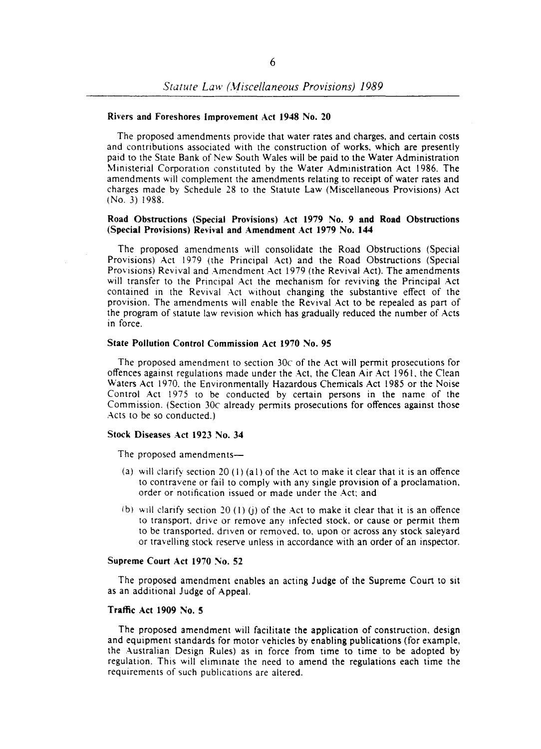#### Rivers and Foreshores Improvement Act 1948 No. 20

The proposed amendments provide that water rates and charges. and certain costs and contributions associated with the construction of works. which are presently paid to the State Bank of New South Wales will be paid to the Water Administration Ministerial Corporation constituted by the Water Administration Act 1986. The amendments will complement the amendments relating to receipt of water rates and charges made by Schedule 28 to the Statute Law (Miscellaneous Provisions) Act (No. 3) 1988.

#### Road Obstructions (Special Provisions) Act 1979 No. 9 and Road Obstructions (Special Provisions) Revival and Amendment Act 1979 No. **144**

The proposed amendments will consolidate the Road Obstructions (Special Provisions) Act 1979 (the Principal Act) and the Road Obstructions (Special Provisions) Revival and Amendment Act 1979 (the Revival Act). The amendments will transfer to the Principal Act the mechanism for reviving the Principal Act contained in the Revival Act without changing the substantive effect of the provision. The amendments will enable the Revival Act to be repealed as part of the program of statute law revision which has gradually reduced the number of Acts in force.

## State Pollution Control Commission Act 1970 No. 95

The proposed amendment to section *30c* of the Act will permit prosecutions for offences against regulations made under the Act, the Clean Air Act 1961. the Clean Waters Act 1970. the Environmentally Hazardous Chemicals Act 1985 or the Noise Control Act 1975 to be conducted by certain persons in the name of the Commission. (Section *30c* already permits prosecutions for offences against those Acts to be so conducted.)

#### Stock Diseases Act 1923 No. 34

The proposed amendments—

- (a) will clarify section 20 (1) (a1) of the Act to make it clear that it is an offence to contravene or fail to comply with any single provision of a proclamation. order or notification issued or made under the Act; and
- (b) will clarify section 20 (1) (i) of the Act to make it clear that it is an offence to transport. drive or remove any infected stock. or cause or permit them to be transported, driven or removed, to, upon or across any stock saleyard or travelling stock reserve unless in accordance with an order of an inspector.

## Supreme Court Act 1970 No. 52

The proposed amendment enables an acting Judge of the Supreme Court to sit as an additional Judge of Appeal.

## Traffic Act 1909 No. 5

The proposed amendment will facilitate the application of construction. design and equipment standards for motor vehicles by enabling publications (for example, the Australian Design Rules) as in force from time to time to be adopted by regulation. This will eliminate the need to amend the regulations each time the requirements of such publications are altered.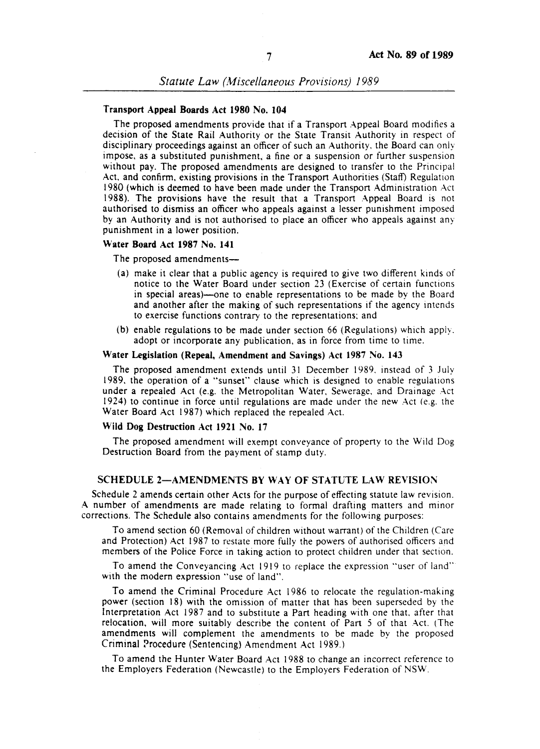#### Transport Appeal Boards Act 1980 No. 104

The proposed amendments provide that if a Transport Appeal Board modifies a decision of the State Rail Authority or the State Transit Authority in respect of disciplinary proceedings against an officer of such an Authority. the Board can only impose, as a substituted punishment a fine or a suspension or further suspension without pay. The proposed amendments are designed to transfer to the Principal Act, and confirm, existing provisions in the Transport Authorities (Staff) Regulation 1980 (which is deemed to have been made under the Transport Administration Act 1988). The provisions have the result that a Transport Appeal Board is not authorised to dismiss an officer who appeals against a lesser punishment imposed by an Authority and is not authorised to place an officer who appeals against any punishment in a lower position.

#### Water Board Act 1987 No. 141

The proposed amendments—

- (a) make it clear that a public agency is required to give two different kinds of notice to the Water Board under section 23 (Exercise of certain functions in special areas)—one to enable representations to be made by the Board and another after the making of such representations if the agency intends to exercise functions contrary to the representations: and
- (b) enable regulations to be made under section 66 (Regulations) which apply. adopt or incorporate any publication, as in force from time to time.

#### Water Legislation (Repeal, Amendmept and Savings) Act 1987 No. 143

The proposed amendment extends until 31 December 1989, instead of 3 July 1989, the operation of a "sunset" clause which is designed to enable regulations under a repealed Act (e.g. the Metropolitan Water, Sewerage. and Drainage Act 1924) to continue in force until regulations are made under the new Act (e.g. the Water Board Act 1987) which replaced the repealed Act.

#### Wild Dog Destruction Act 1921 No. 17

The proposed amendment will exempt conveyance of property to the Wild Dog Destruction Board from the payment of stamp duty.

#### SCHEDULE 2-AMENDMENTS BY WAY OF STATUTE LAW REVISION

Schedule 2 amends certain other Acts for the purpose of effecting statute law revision. A number of amendments are made relating to formal drafting matters and minor corrections. The Schedule also contains amendments for the following purposes:

To amend section 60 (Removal of children without warrant) of the Children (Care and Protection) Act 1987 to restate more fully the powers of authorised officers and members of the Police Force in taking action to protect children under that section.

To amend the Conveyancing Act 919 to replace the expression "user of land" with the modern expression "use of land".

To amend the Criminal Procedure Act 1986 to relocate the regulation-making power (section 18) with the omission of matter that has been superseded by the Interpretation Act 1987 and to substitute a Part heading with one that, after that relocation, will more suitably describe the content of Part 5 of that Act. (The amendments will complement the amendments to be made by the proposed Criminal Procedure (Sentencing) Amendment Act 1989.)

To amend the Hunter Water Board Act 1988 to change an incorrect reference to the Employers Federation (Newcastle) to the Employers Federation of NSW.